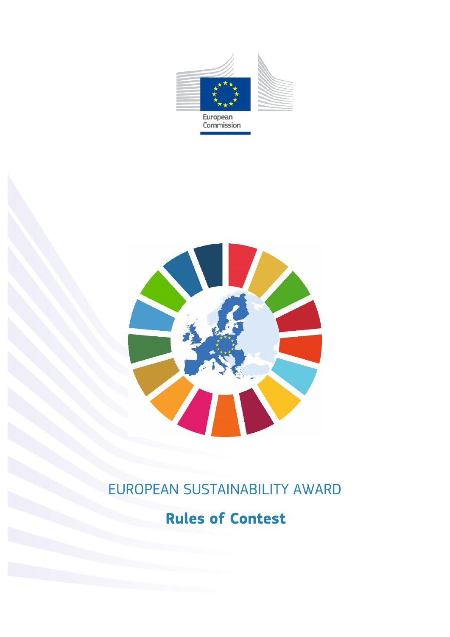



# EUROPEAN SUSTAINABILITY AWARD

# **Rules of Contest**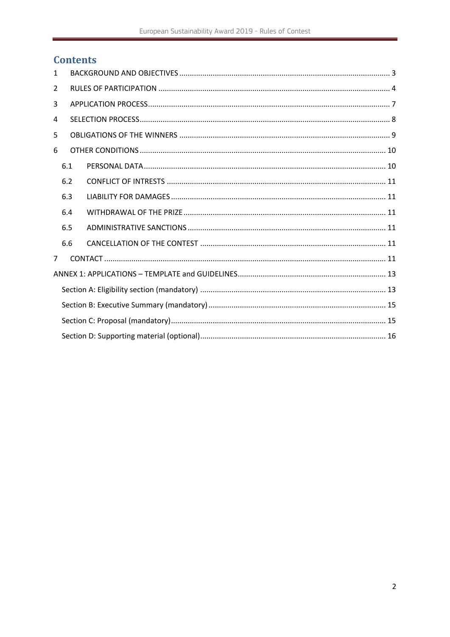# **Contents**

| $\mathbf{1}$   |     |  |  |  |
|----------------|-----|--|--|--|
| 2              |     |  |  |  |
| 3              |     |  |  |  |
| 4              |     |  |  |  |
| 5.             |     |  |  |  |
| 6              |     |  |  |  |
|                | 6.1 |  |  |  |
|                | 6.2 |  |  |  |
|                | 6.3 |  |  |  |
|                | 6.4 |  |  |  |
|                | 6.5 |  |  |  |
|                | 6.6 |  |  |  |
| $\overline{7}$ |     |  |  |  |
|                |     |  |  |  |
|                |     |  |  |  |
|                |     |  |  |  |
|                |     |  |  |  |
|                |     |  |  |  |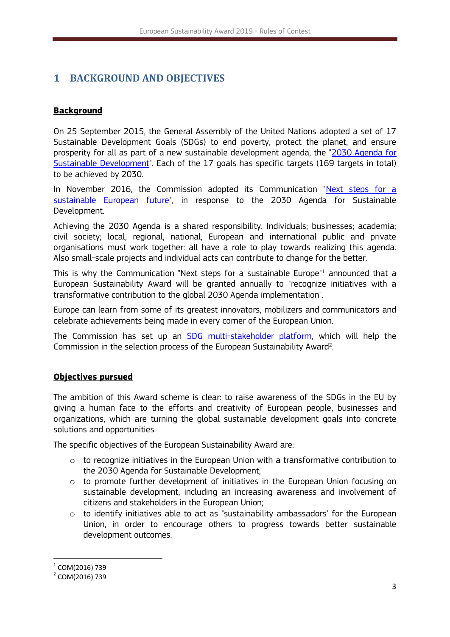# <span id="page-2-0"></span>**1 BACKGROUND AND OBJECTIVES**

## **Background**

On 25 September 2015, the General Assembly of the United Nations adopted a set of 17 Sustainable Development Goals (SDGs) to end poverty, protect the planet, and ensure prosperity for all as part of a new sustainable development agenda, the ["2030 Agenda](https://sustainabledevelopment.un.org/post2015/transformingourworld) for [Sustainable Development"](https://sustainabledevelopment.un.org/post2015/transformingourworld). Each of the 17 goals has specific targets (169 targets in total) to be achieved by 2030.

In November 2016, the Commission adopted its Communication "Next steps for a [sustainable European future"](https://ec.europa.eu/info/strategy/international-strategies/global-topics/sustainable-development-goals/eu-approach-sustainable-development_en), in response to the 2030 Agenda for Sustainable Development.

Achieving the 2030 Agenda is a shared responsibility. Individuals; businesses; academia; civil society; local, regional, national, European and international public and private organisations must work together: all have a role to play towards realizing this agenda. Also small-scale projects and individual acts can contribute to change for the better.

This is why the Communication "Next steps for a sustainable Europe"<sup>1</sup> announced that a European Sustainability Award will be granted annually to "recognize initiatives with a transformative contribution to the global 2030 Agenda implementation".

Europe can learn from some of its greatest innovators, mobilizers and communicators and celebrate achievements being made in every corner of the European Union.

The Commission has set up an **SDG** multi-stakeholder platform, which will help the Commission in the selection process of the European Sustainability Award<sup>2</sup>. .

## **Objectives pursued**

The ambition of this Award scheme is clear: to raise awareness of the SDGs in the EU by giving a human face to the efforts and creativity of European people, businesses and organizations, which are turning the global sustainable development goals into concrete solutions and opportunities.

The specific objectives of the European Sustainability Award are:

- $\circ$  to recognize initiatives in the European Union with a transformative contribution to the 2030 Agenda for Sustainable Development;
- $\circ$  to promote further development of initiatives in the European Union focusing on sustainable development, including an increasing awareness and involvement of citizens and stakeholders in the European Union;
- $\circ$  to identify initiatives able to act as "sustainability ambassadors' for the European Union, in order to encourage others to progress towards better sustainable development outcomes.

**.** 

 $^{\rm 1}$  COM(2016) 739

<sup>&</sup>lt;sup>2</sup> COM(2016) 739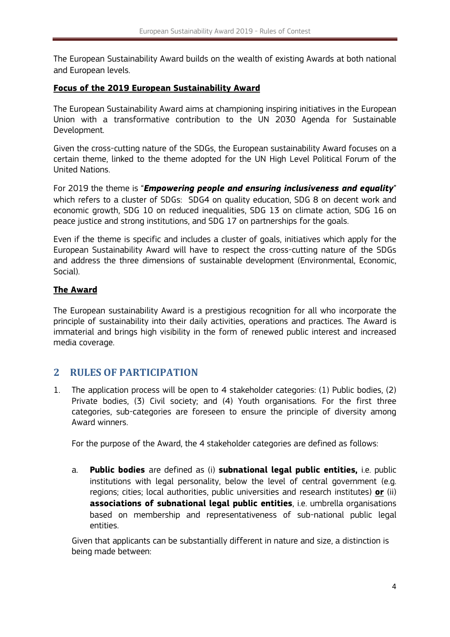The European Sustainability Award builds on the wealth of existing Awards at both national and European levels.

### **Focus of the 2019 European Sustainability Award**

The European Sustainability Award aims at championing inspiring initiatives in the European Union with a transformative contribution to the UN 2030 Agenda for Sustainable Development.

Given the cross-cutting nature of the SDGs, the European sustainability Award focuses on a certain theme, linked to the theme adopted for the UN High Level Political Forum of the United Nations.

For 2019 the theme is "*Empowering people and ensuring inclusiveness and equality*" which refers to a cluster of SDGs: SDG4 on quality education, SDG 8 on decent work and economic growth, SDG 10 on reduced inequalities, SDG 13 on climate action, SDG 16 on peace justice and strong institutions, and SDG 17 on partnerships for the goals.

Even if the theme is specific and includes a cluster of goals, initiatives which apply for the European Sustainability Award will have to respect the cross-cutting nature of the SDGs and address the three dimensions of sustainable development (Environmental, Economic, Social).

## **The Award**

The European sustainability Award is a prestigious recognition for all who incorporate the principle of sustainability into their daily activities, operations and practices. The Award is immaterial and brings high visibility in the form of renewed public interest and increased media coverage.

## <span id="page-3-0"></span>**2 RULES OF PARTICIPATION**

1. The application process will be open to 4 stakeholder categories: (1) Public bodies, (2) Private bodies, (3) Civil society; and (4) Youth organisations. For the first three categories, sub-categories are foreseen to ensure the principle of diversity among Award winners.

For the purpose of the Award, the 4 stakeholder categories are defined as follows:

a. **Public bodies** are defined as (i) **subnational legal public entities,** i.e. public institutions with legal personality, below the level of central government (e.g. regions; cities; local authorities, public universities and research institutes) **or** (ii) **associations of subnational legal public entities**, i.e. umbrella organisations based on membership and representativeness of sub-national public legal entities.

Given that applicants can be substantially different in nature and size, a distinction is being made between: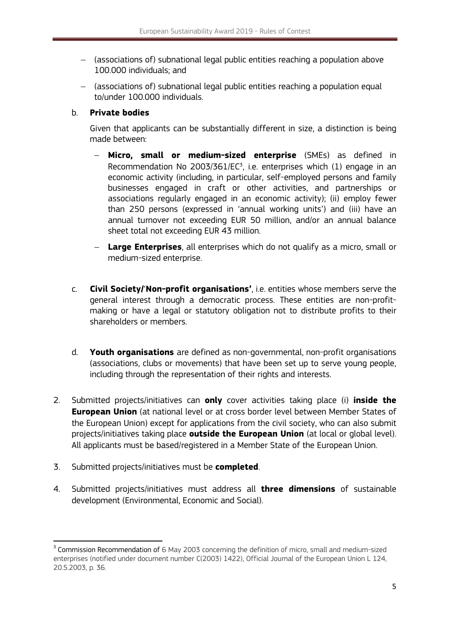- (associations of) subnational legal public entities reaching a population above 100.000 individuals; and
- (associations of) subnational legal public entities reaching a population equal to/under 100.000 individuals.

### b. **Private bodies**

Given that applicants can be substantially different in size, a distinction is being made between:

- **Micro, small or medium-sized enterprise** (SMEs) as defined in Recommendation No 2003/361/ $EC^3$ , i.e. enterprises which (1) engage in an economic activity (including, in particular, self-employed persons and family businesses engaged in craft or other activities, and partnerships or associations regularly engaged in an economic activity); (ii) employ fewer than 250 persons (expressed in 'annual working units') and (iii) have an annual turnover not exceeding EUR 50 million, and/or an annual balance sheet total not exceeding EUR 43 million.
- **Large Enterprises**, all enterprises which do not qualify as a micro, small or medium-sized enterprise.
- c. **Civil Society/**'**Non-profit organisations'**, i.e. entities whose members serve the general interest through a democratic process. These entities are non-profitmaking or have a legal or statutory obligation not to distribute profits to their shareholders or members.
- d. **Youth organisations** are defined as non-governmental, non-profit organisations (associations, clubs or movements) that have been set up to serve young people, including through the representation of their rights and interests.
- 2. Submitted projects/initiatives can **only** cover activities taking place (i) **inside the European Union** (at national level or at cross border level between Member States of the European Union) except for applications from the civil society, who can also submit projects/initiatives taking place **outside the European Union** (at local or global level). All applicants must be based/registered in a Member State of the European Union.
- 3. Submitted projects/initiatives must be **completed**.

**.** 

4. Submitted projects/initiatives must address all **three dimensions** of sustainable development (Environmental, Economic and Social).

 $3$  Commission Recommendation of 6 May 2003 concerning the definition of micro, small and medium-sized enterprises (notified under document number C(2003) 1422), Official Journal of the European Union L 124, 20.5.2003, p. 36.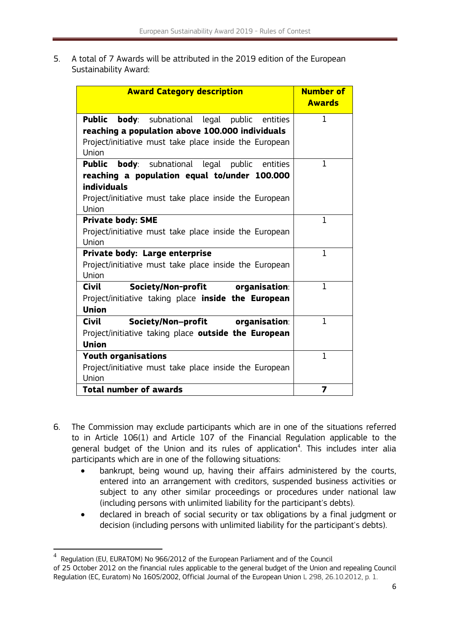5. A total of 7 Awards will be attributed in the 2019 edition of the European Sustainability Award:

| <b>Award Category description</b>                                | <b>Number of</b><br><b>Awards</b> |
|------------------------------------------------------------------|-----------------------------------|
| <b>Public</b><br><b>body</b> : subnational legal public entities | 1                                 |
| reaching a population above 100.000 individuals                  |                                   |
| Project/initiative must take place inside the European           |                                   |
| Union                                                            |                                   |
| <b>Public body</b> : subnational legal public entities           | 1                                 |
| reaching a population equal to/under 100.000                     |                                   |
| <b>individuals</b>                                               |                                   |
| Project/initiative must take place inside the European<br>Union  |                                   |
| <b>Private body: SME</b>                                         | $\mathbf{1}$                      |
| Project/initiative must take place inside the European           |                                   |
| Union                                                            |                                   |
| Private body: Large enterprise                                   | $\mathbf{1}$                      |
| Project/initiative must take place inside the European           |                                   |
| Union                                                            |                                   |
| Society/Non-profit organisation:<br>Civil                        | 1                                 |
| Project/initiative taking place inside the European              |                                   |
| <b>Union</b>                                                     |                                   |
| Society/Non-profit organisation:<br><b>Civil</b>                 | $\mathbf{1}$                      |
| Project/initiative taking place outside the European             |                                   |
| <b>Union</b>                                                     |                                   |
| <b>Youth organisations</b>                                       | $\mathbf{1}$                      |
| Project/initiative must take place inside the European           |                                   |
| Union                                                            |                                   |
| <b>Total number of awards</b>                                    | 7                                 |

- 6. The Commission may exclude participants which are in one of the situations referred to in Article 106(1) and Article 107 of the Financial Regulation applicable to the general budget of the Union and its rules of application<sup>4</sup>. This includes inter alia participants which are in one of the following situations:
	- bankrupt, being wound up, having their affairs administered by the courts, entered into an arrangement with creditors, suspended business activities or subject to any other similar proceedings or procedures under national law (including persons with unlimited liability for the participant's debts).
	- declared in breach of social security or tax obligations by a final judgment or decision (including persons with unlimited liability for the participant's debts).

**.** 

<sup>4</sup> Regulation (EU, EURATOM) No 966/2012 of the European Parliament and of the Council of 25 October 2012 on the financial rules applicable to the general budget of the Union and repealing Council Regulation (EC, Euratom) No 1605/2002, Official Journal of the European Union L 298, 26.10.2012, p. 1.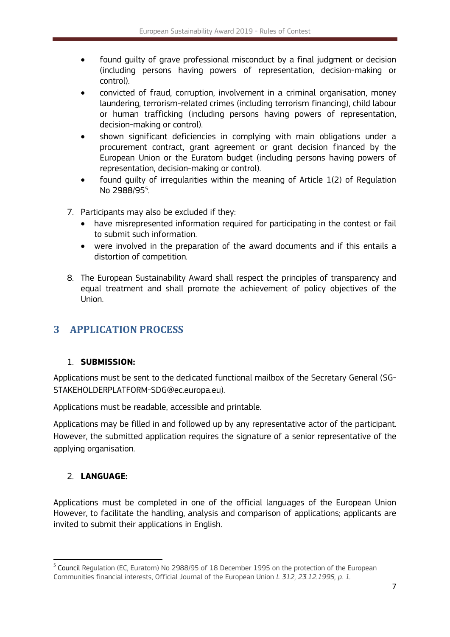- found guilty of grave professional misconduct by a final judgment or decision (including persons having powers of representation, decision-making or control).
- convicted of fraud, corruption, involvement in a criminal organisation, money laundering, terrorism-related crimes (including terrorism financing), child labour or human trafficking (including persons having powers of representation, decision-making or control).
- shown significant deficiencies in complying with main obligations under a procurement contract, grant agreement or grant decision financed by the European Union or the Euratom budget (including persons having powers of representation, decision-making or control).
- found guilty of irregularities within the meaning of Article 1(2) of Regulation No 2988/95<sup>5</sup> .
- 7. Participants may also be excluded if they:
	- have misrepresented information required for participating in the contest or fail to submit such information.
	- were involved in the preparation of the award documents and if this entails a distortion of competition.
- 8. The European Sustainability Award shall respect the principles of transparency and equal treatment and shall promote the achievement of policy objectives of the Union.

## <span id="page-6-0"></span>**3 APPLICATION PROCESS**

## 1. **SUBMISSION:**

Applications must be sent to the dedicated functional mailbox of the Secretary General (SG-STAKEHOLDERPLATFORM-SDG@ec.europa.eu).

Applications must be readable, accessible and printable.

Applications may be filled in and followed up by any representative actor of the participant. However, the submitted application requires the signature of a senior representative of the applying organisation.

## 2. **LANGUAGE:**

**.** 

Applications must be completed in one of the official languages of the European Union However, to facilitate the handling, analysis and comparison of applications; applicants are invited to submit their applications in English.

<sup>&</sup>lt;sup>5</sup> Council Regulation (EC, Euratom) No 2988/95 of 18 December 1995 on the protection of the European Communities financial interests, Official Journal of the European Union *L 312, 23.12.1995, p. 1.*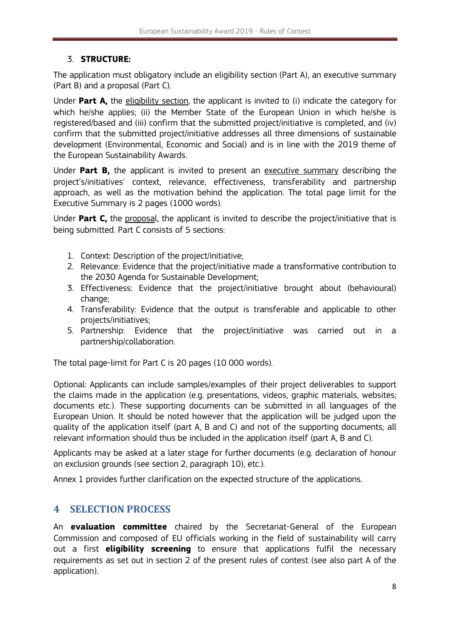## 3. **STRUCTURE:**

The application must obligatory include an eligibility section (Part A), an executive summary (Part B) and a proposal (Part C).

Under **Part A,** the eligibility section, the applicant is invited to (i) indicate the category for which he/she applies; (ii) the Member State of the European Union in which he/she is registered/based and (iii) confirm that the submitted project/initiative is completed, and (iv) confirm that the submitted project/initiative addresses all three dimensions of sustainable development (Environmental, Economic and Social) and is in line with the 2019 theme of the European Sustainability Awards.

Under **Part B,** the applicant is invited to present an executive summary describing the project's/initiatives' context, relevance, effectiveness, transferability and partnership approach, as well as the motivation behind the application. The total page limit for the Executive Summary is 2 pages (1000 words).

Under **Part C,** the proposal, the applicant is invited to describe the project/initiative that is being submitted. Part C consists of 5 sections:

- 1. Context: Description of the project/initiative;
- 2. Relevance: Evidence that the project/initiative made a transformative contribution to the 2030 Agenda for Sustainable Development;
- 3. Effectiveness: Evidence that the project/initiative brought about (behavioural) change;
- 4. Transferability: Evidence that the output is transferable and applicable to other projects/initiatives;
- 5. Partnership: Evidence that the project/initiative was carried out in a partnership/collaboration.

The total page-limit for Part C is 20 pages (10 000 words).

Optional: Applicants can include samples/examples of their project deliverables to support the claims made in the application (e.g. presentations, videos, graphic materials, websites; documents etc.). These supporting documents can be submitted in all languages of the European Union. It should be noted however that the application will be judged upon the quality of the application itself (part A, B and C) and not of the supporting documents; all relevant information should thus be included in the application itself (part A, B and C).

Applicants may be asked at a later stage for further documents (e.g. declaration of honour on exclusion grounds (see section 2, paragraph 10), etc.).

<span id="page-7-0"></span>Annex 1 provides further clarification on the expected structure of the applications.

## **4 SELECTION PROCESS**

An **evaluation committee** chaired by the Secretariat-General of the European Commission and composed of EU officials working in the field of sustainability will carry out a first **eligibility screening** to ensure that applications fulfil the necessary requirements as set out in section 2 of the present rules of contest (see also part A of the application).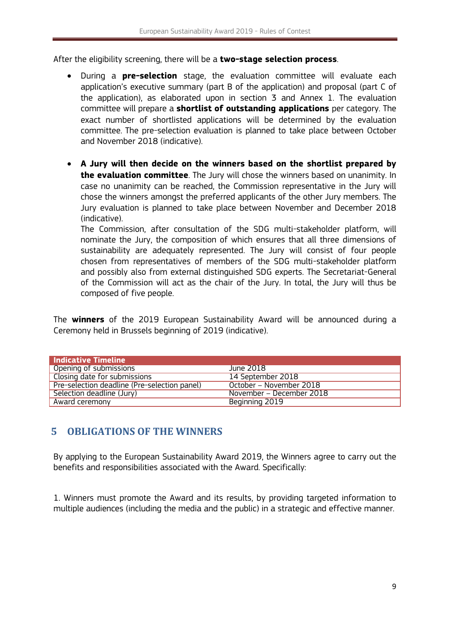After the eligibility screening, there will be a **two-stage selection process**.

- During a **pre-selection** stage, the evaluation committee will evaluate each application's executive summary (part B of the application) and proposal (part C of the application), as elaborated upon in section 3 and Annex 1. The evaluation committee will prepare a **shortlist of outstanding applications** per category. The exact number of shortlisted applications will be determined by the evaluation committee. The pre-selection evaluation is planned to take place between October and November 2018 (indicative).
- **A Jury will then decide on the winners based on the shortlist prepared by the evaluation committee**. The Jury will chose the winners based on unanimity. In case no unanimity can be reached, the Commission representative in the Jury will chose the winners amongst the preferred applicants of the other Jury members. The Jury evaluation is planned to take place between November and December 2018 (indicative).

The Commission, after consultation of the SDG multi-stakeholder platform, will nominate the Jury, the composition of which ensures that all three dimensions of sustainability are adequately represented. The Jury will consist of four people chosen from representatives of members of the SDG multi-stakeholder platform and possibly also from external distinguished SDG experts. The Secretariat-General of the Commission will act as the chair of the Jury. In total, the Jury will thus be composed of five people.

The **winners** of the 2019 European Sustainability Award will be announced during a Ceremony held in Brussels beginning of 2019 (indicative).

| <b>Indicative Timeline</b>                   |                          |
|----------------------------------------------|--------------------------|
| Opening of submissions                       | June 2018                |
| Closing date for submissions                 | 14 September 2018        |
| Pre-selection deadline (Pre-selection panel) | October - November 2018  |
| Selection deadline (Jury)                    | November – December 2018 |
| Award ceremony                               | Beginning 2019           |

## <span id="page-8-0"></span>**5 OBLIGATIONS OF THE WINNERS**

By applying to the European Sustainability Award 2019, the Winners agree to carry out the benefits and responsibilities associated with the Award. Specifically:

1. Winners must promote the Award and its results, by providing targeted information to multiple audiences (including the media and the public) in a strategic and effective manner.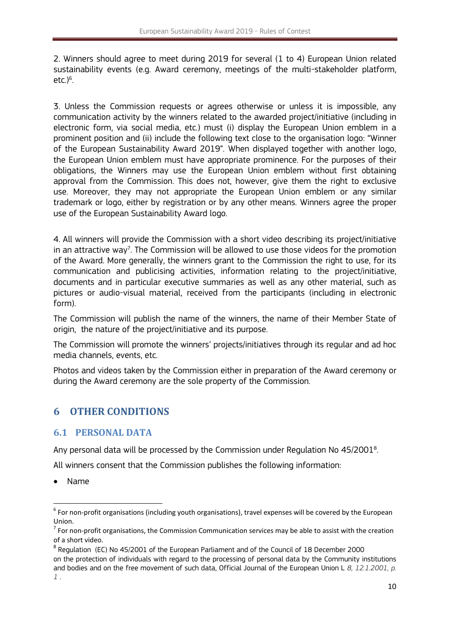2. Winners should agree to meet during 2019 for several (1 to 4) European Union related sustainability events (e.g. Award ceremony, meetings of the multi-stakeholder platform, etc.) 6 .

3. Unless the Commission requests or agrees otherwise or unless it is impossible, any communication activity by the winners related to the awarded project/initiative (including in electronic form, via social media, etc.) must (i) display the European Union emblem in a prominent position and (ii) include the following text close to the organisation logo: "Winner of the European Sustainability Award 2019". When displayed together with another logo, the European Union emblem must have appropriate prominence. For the purposes of their obligations, the Winners may use the European Union emblem without first obtaining approval from the Commission. This does not, however, give them the right to exclusive use. Moreover, they may not appropriate the European Union emblem or any similar trademark or logo, either by registration or by any other means. Winners agree the proper use of the European Sustainability Award logo.

4. All winners will provide the Commission with a short video describing its project/initiative in an attractive way<sup>7</sup>. The Commission will be allowed to use those videos for the promotion of the Award. More generally, the winners grant to the Commission the right to use, for its communication and publicising activities, information relating to the project/initiative, documents and in particular executive summaries as well as any other material, such as pictures or audio-visual material, received from the participants (including in electronic form).

The Commission will publish the name of the winners, the name of their Member State of origin, the nature of the project/initiative and its purpose.

The Commission will promote the winners' projects/initiatives through its regular and ad hoc media channels, events, etc.

Photos and videos taken by the Commission either in preparation of the Award ceremony or during the Award ceremony are the sole property of the Commission.

## <span id="page-9-0"></span>**6 OTHER CONDITIONS**

## <span id="page-9-1"></span>**6.1 PERSONAL DATA**

Any personal data will be processed by the Commission under Regulation No 45/2001<sup>8</sup>. .

All winners consent that the Commission publishes the following information:

Name

1

 $^6$  For non-profit organisations (including youth organisations), travel expenses will be covered by the European Union.

 $<sup>7</sup>$  For non-profit organisations, the Commission Communication services may be able to assist with the creation</sup> of a short video.

<sup>&</sup>lt;sup>8</sup> Regulation (EC) No 45/2001 of the European Parliament and of the Council of 18 December 2000 on the protection of individuals with regard to the processing of personal data by the Community institutions and bodies and on the free movement of such data, Official Journal of the European Union L *8, 12.1.2001, p. 1* .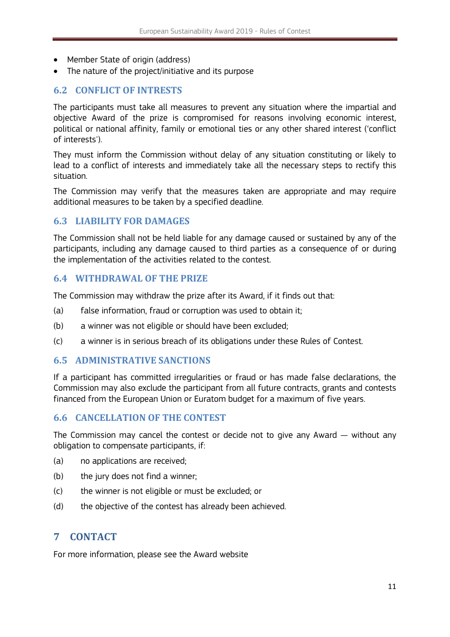- Member State of origin (address)
- The nature of the project/initiative and its purpose

## <span id="page-10-0"></span>**6.2 CONFLICT OF INTRESTS**

The participants must take all measures to prevent any situation where the impartial and objective Award of the prize is compromised for reasons involving economic interest, political or national affinity, family or emotional ties or any other shared interest ('conflict of interests').

They must inform the Commission without delay of any situation constituting or likely to lead to a conflict of interests and immediately take all the necessary steps to rectify this situation.

The Commission may verify that the measures taken are appropriate and may require additional measures to be taken by a specified deadline.

#### <span id="page-10-1"></span>**6.3 LIABILITY FOR DAMAGES**

The Commission shall not be held liable for any damage caused or sustained by any of the participants, including any damage caused to third parties as a consequence of or during the implementation of the activities related to the contest.

#### <span id="page-10-2"></span>**6.4 WITHDRAWAL OF THE PRIZE**

The Commission may withdraw the prize after its Award, if it finds out that:

- (a) false information, fraud or corruption was used to obtain it;
- (b) a winner was not eligible or should have been excluded;
- (c) a winner is in serious breach of its obligations under these Rules of Contest.

### <span id="page-10-3"></span>**6.5 ADMINISTRATIVE SANCTIONS**

If a participant has committed irregularities or fraud or has made false declarations, the Commission may also exclude the participant from all future contracts, grants and contests financed from the European Union or Euratom budget for a maximum of five years.

## <span id="page-10-4"></span>**6.6 CANCELLATION OF THE CONTEST**

The Commission may cancel the contest or decide not to give any Award — without any obligation to compensate participants, if:

- (a) no applications are received;
- (b) the jury does not find a winner;
- (c) the winner is not eligible or must be excluded; or
- <span id="page-10-5"></span>(d) the objective of the contest has already been achieved.

## **7 CONTACT**

For more information, please see the Award website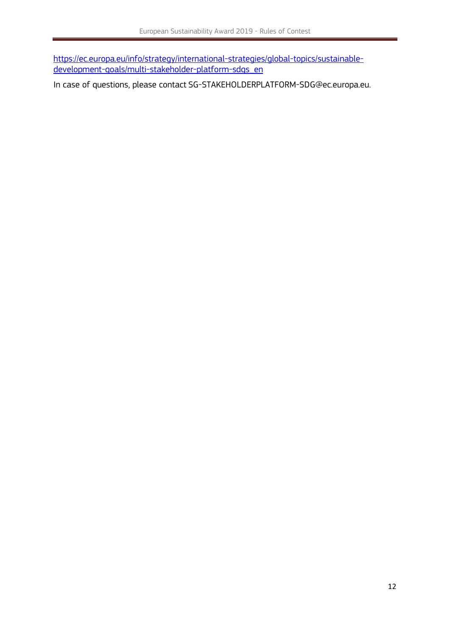[https://ec.europa.eu/info/strategy/international-strategies/global-topics/sustainable](https://ec.europa.eu/info/strategy/international-strategies/global-topics/sustainable-development-goals/multi-stakeholder-platform-sdgs_en)[development-goals/multi-stakeholder-platform-sdgs\\_en](https://ec.europa.eu/info/strategy/international-strategies/global-topics/sustainable-development-goals/multi-stakeholder-platform-sdgs_en)

In case of questions, please contact SG-STAKEHOLDERPLATFORM-SDG@ec.europa.eu.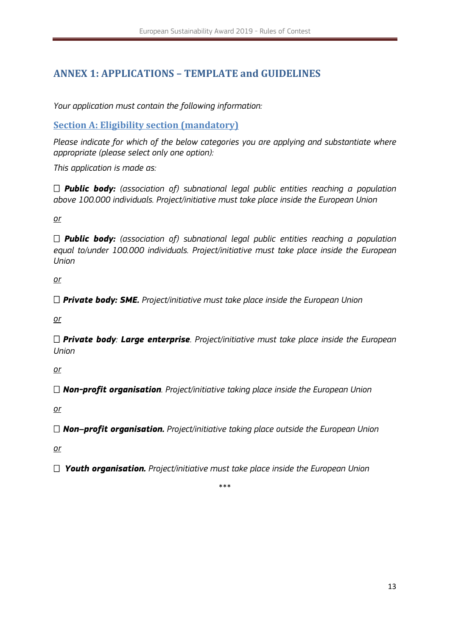# <span id="page-12-0"></span>**ANNEX 1: APPLICATIONS – TEMPLATE and GUIDELINES**

*Your application must contain the following information:* 

<span id="page-12-1"></span>**Section A: Eligibility section (mandatory)**

*Please indicate for which of the below categories you are applying and substantiate where appropriate (please select only one option):*

*This application is made as:* 

 *Public body: (association of) subnational legal public entities reaching a population above 100.000 individuals. Project/initiative must take place inside the European Union*

*or*

 *Public body: (association of) subnational legal public entities reaching a population equal to/under 100.000 individuals. Project/initiative must take place inside the European Union*

*or*

*Private body: SME. Project/initiative must take place inside the European Union*

*or*

 *Private body: Large enterprise. Project/initiative must take place inside the European Union*

*or*

*Non-profit organisation. Project/initiative taking place inside the European Union* 

*or*

*Non–profit organisation. Project/initiative taking place outside the European Union* 

*or*

*Youth organisation. Project/initiative must take place inside the European Union*

\*\*\*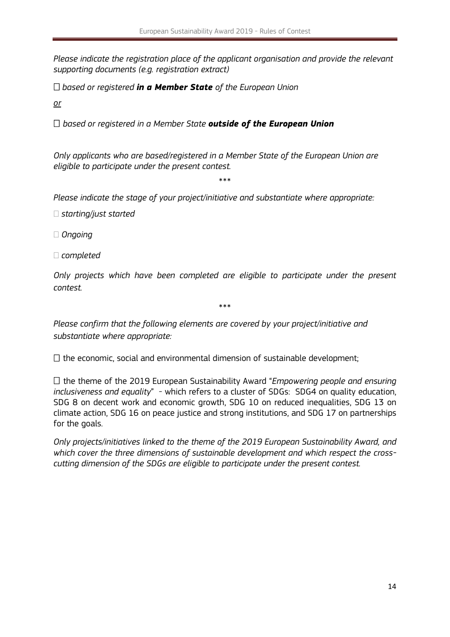*Please indicate the registration place of the applicant organisation and provide the relevant supporting documents (e.g. registration extract)*

*based or registered in a Member State of the European Union*

*or*

*based or registered in a Member State outside of the European Union*

*Only applicants who are based/registered in a Member State of the European Union are eligible to participate under the present contest.*

\*\*\*

*Please indicate the stage of your project/initiative and substantiate where appropriate:*

*starting/just started*

*Ongoing*

*completed*

*Only projects which have been completed are eligible to participate under the present contest.*

\*\*\*

*Please confirm that the following elements are covered by your project/initiative and substantiate where appropriate:*

 $\Box$  the economic, social and environmental dimension of sustainable development;

□ the theme of the 2019 European Sustainability Award "*Empowering people and ensuring inclusiveness and equality*" - which refers to a cluster of SDGs: SDG4 on quality education, SDG 8 on decent work and economic growth, SDG 10 on reduced inequalities, SDG 13 on climate action, SDG 16 on peace justice and strong institutions, and SDG 17 on partnerships for the goals.

*Only projects/initiatives linked to the theme of the 2019 European Sustainability Award, and which cover the three dimensions of sustainable development and which respect the crosscutting dimension of the SDGs are eligible to participate under the present contest.*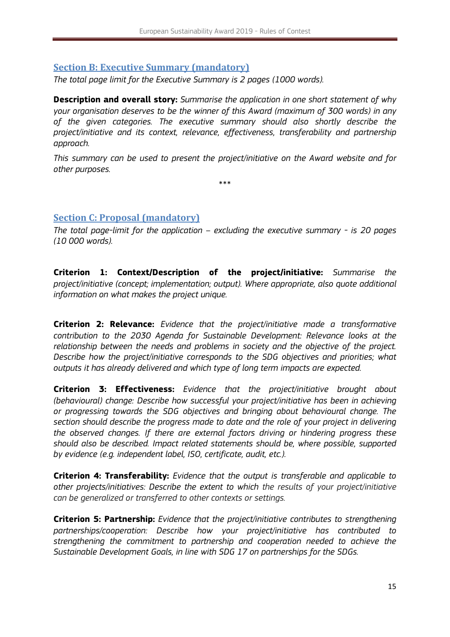## <span id="page-14-0"></span>**Section B: Executive Summary (mandatory)**

*The total page limit for the Executive Summary is 2 pages (1000 words).*

**Description and overall story:** *Summarise the application in one short statement of why your organisation deserves to be the winner of this Award (maximum of 300 words) in any of the given categories. The executive summary should also shortly describe the project/initiative and its context, relevance, effectiveness, transferability and partnership approach.* 

*This summary can be used to present the project/initiative on the Award website and for other purposes.* 

\*\*\*

## <span id="page-14-1"></span>**Section C: Proposal (mandatory)**

*The total page-limit for the application – excluding the executive summary - is 20 pages (10 000 words).* 

**Criterion 1: Context/Description of the project/initiative:** *Summarise the project/initiative (concept; implementation; output). Where appropriate, also quote additional information on what makes the project unique.* 

**Criterion 2: Relevance:** *Evidence that the project/initiative made a transformative contribution to the 2030 Agenda for Sustainable Development: Relevance looks at the relationship between the needs and problems in society and the objective of the project. Describe how the project/initiative corresponds to the SDG objectives and priorities; what outputs it has already delivered and which type of long term impacts are expected.* 

**Criterion 3: Effectiveness:** *Evidence that the project/initiative brought about (behavioural) change: Describe how successful your project/initiative has been in achieving or progressing towards the SDG objectives and bringing about behavioural change. The section should describe the progress made to date and the role of your project in delivering the observed changes. If there are external factors driving or hindering progress these should also be described. Impact related statements should be, where possible, supported by evidence (e.g. independent label, ISO, certificate, audit, etc.).*

**Criterion 4: Transferability:** *Evidence that the output is transferable and applicable to other projects/initiatives: Describe the extent to which the results of your project/initiative can be generalized or transferred to other contexts or settings.*

**Criterion 5: Partnership:** *Evidence that the project/initiative contributes to strengthening partnerships/cooperation: Describe how your project/initiative has contributed to strengthening the commitment to partnership and cooperation needed to achieve the Sustainable Development Goals, in line with SDG 17 on partnerships for the SDGs.*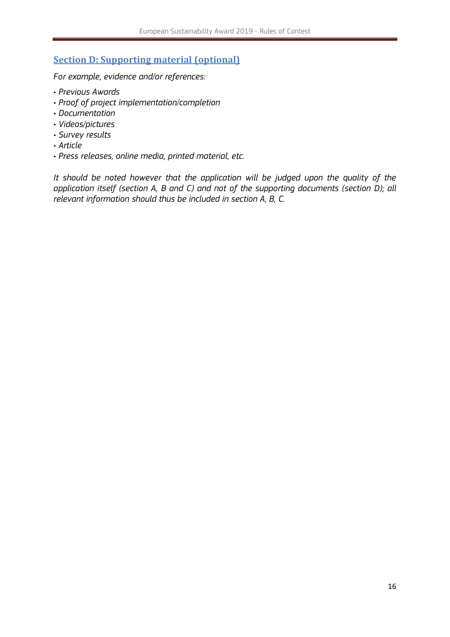## <span id="page-15-0"></span>**Section D: Supporting material (optional)**

*For example, evidence and/or references:*

- *Previous Awards*
- *Proof of project implementation/completion*
- *Documentation*
- *Videos/pictures*
- *Survey results*
- *Article*
- *Press releases, online media, printed material, etc.*

*It should be noted however that the application will be judged upon the quality of the application itself (section A, B and C) and not of the supporting documents (section D); all relevant information should thus be included in section A, B, C.*